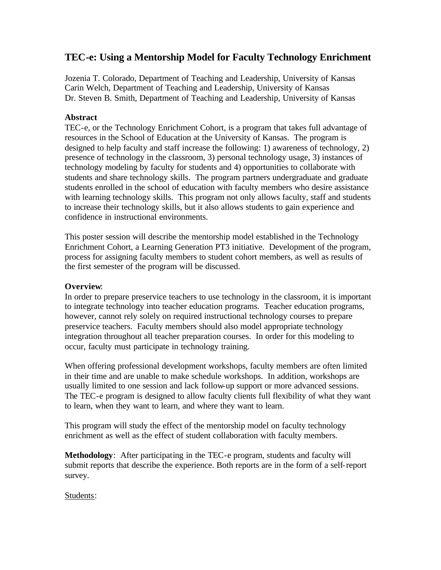# **TEC-e: Using a Mentorship Model for Faculty Technology Enrichment**

Jozenia T. Colorado, Department of Teaching and Leadership, University of Kansas Carin Welch, Department of Teaching and Leadership, University of Kansas Dr. Steven B. Smith, Department of Teaching and Leadership, University of Kansas

## **Abstract**

TEC-e, or the Technology Enrichment Cohort, is a program that takes full advantage of resources in the School of Education at the University of Kansas. The program is designed to help faculty and staff increase the following: 1) awareness of technology, 2) presence of technology in the classroom, 3) personal technology usage, 3) instances of technology modeling by faculty for students and 4) opportunities to collaborate with students and share technology skills. The program partners undergraduate and graduate students enrolled in the school of education with faculty members who desire assistance with learning technology skills. This program not only allows faculty, staff and students to increase their technology skills, but it also allows students to gain experience and confidence in instructional environments.

This poster session will describe the mentorship model established in the Technology Enrichment Cohort, a Learning Generation PT3 initiative. Development of the program, process for assigning faculty members to student cohort members, as well as results of the first semester of the program will be discussed.

## **Overview**:

In order to prepare preservice teachers to use technology in the classroom, it is important to integrate technology into teacher education programs. Teacher education programs, however, cannot rely solely on required instructional technology courses to prepare preservice teachers. Faculty members should also model appropriate technology integration throughout all teacher preparation courses. In order for this modeling to occur, faculty must participate in technology training.

When offering professional development workshops, faculty members are often limited in their time and are unable to make schedule workshops. In addition, workshops are usually limited to one session and lack follow-up support or more advanced sessions. The TEC-e program is designed to allow faculty clients full flexibility of what they want to learn, when they want to learn, and where they want to learn.

This program will study the effect of the mentorship model on faculty technology enrichment as well as the effect of student collaboration with faculty members.

**Methodology**: After participating in the TEC-e program, students and faculty will submit reports that describe the experience. Both reports are in the form of a self-report survey.

## Students: